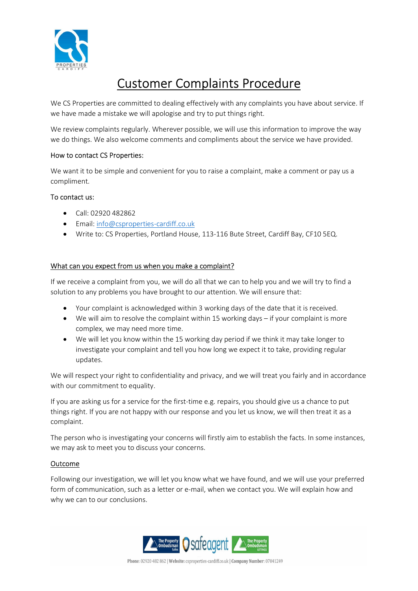

# Customer Complaints Procedure

We CS Properties are committed to dealing effectively with any complaints you have about service. If we have made a mistake we will apologise and try to put things right.

We review complaints regularly. Wherever possible, we will use this information to improve the way we do things. We also welcome comments and compliments about the service we have provided.

## How to contact CS Properties:

We want it to be simple and convenient for you to raise a complaint, make a comment or pay us a compliment.

#### To contact us:

- $\bullet$  Call: 02920 482862
- Email: info@csproperties-cardiff.co.uk
- Write to: CS Properties, Portland House, 113-116 Bute Street, Cardiff Bay, CF10 5EQ.

#### What can you expect from us when you make a complaint?

If we receive a complaint from you, we will do all that we can to help you and we will try to find a solution to any problems you have brought to our attention. We will ensure that:

- Your complaint is acknowledged within 3 working days of the date that it is received.
- We will aim to resolve the complaint within 15 working days if your complaint is more complex, we may need more time.
- We will let you know within the 15 working day period if we think it may take longer to investigate your complaint and tell you how long we expect it to take, providing regular updates.

We will respect your right to confidentiality and privacy, and we will treat you fairly and in accordance with our commitment to equality.

If you are asking us for a service for the first-time e.g. repairs, you should give us a chance to put things right. If you are not happy with our response and you let us know, we will then treat it as a complaint.

The person who is investigating your concerns will firstly aim to establish the facts. In some instances, we may ask to meet you to discuss your concerns.

## Outcome

Following our investigation, we will let you know what we have found, and we will use your preferred form of communication, such as a letter or e-mail, when we contact you. We will explain how and why we can to our conclusions.

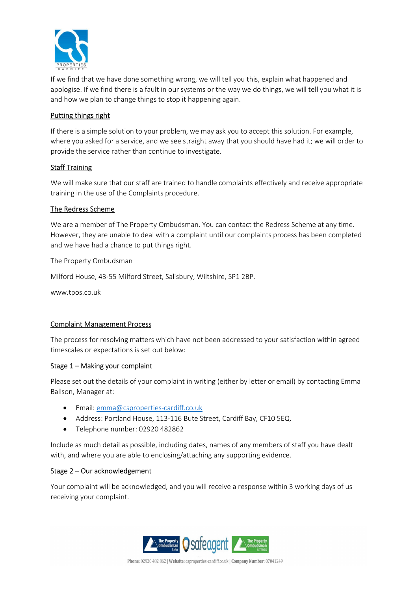

If we find that we have done something wrong, we will tell you this, explain what happened and apologise. If we find there is a fault in our systems or the way we do things, we will tell you what it is and how we plan to change things to stop it happening again.

# Putting things right

If there is a simple solution to your problem, we may ask you to accept this solution. For example, where you asked for a service, and we see straight away that you should have had it; we will order to provide the service rather than continue to investigate.

## Staff Training

We will make sure that our staff are trained to handle complaints effectively and receive appropriate training in the use of the Complaints procedure.

## The Redress Scheme

We are a member of The Property Ombudsman. You can contact the Redress Scheme at any time. However, they are unable to deal with a complaint until our complaints process has been completed and we have had a chance to put things right.

The Property Ombudsman

Milford House, 43-55 Milford Street, Salisbury, Wiltshire, SP1 2BP.

www.tpos.co.uk

## Complaint Management Process

The process for resolving matters which have not been addressed to your satisfaction within agreed timescales or expectations is set out below:

## Stage 1 – Making your complaint

Please set out the details of your complaint in writing (either by letter or email) by contacting Emma Ballson, Manager at:

- Email: emma@csproperties-cardiff.co.uk
- Address: Portland House, 113-116 Bute Street, Cardiff Bay, CF10 5EQ.
- Telephone number: 02920 482862

Include as much detail as possible, including dates, names of any members of staff you have dealt with, and where you are able to enclosing/attaching any supporting evidence.

## Stage 2 – Our acknowledgement

Your complaint will be acknowledged, and you will receive a response within 3 working days of us receiving your complaint.